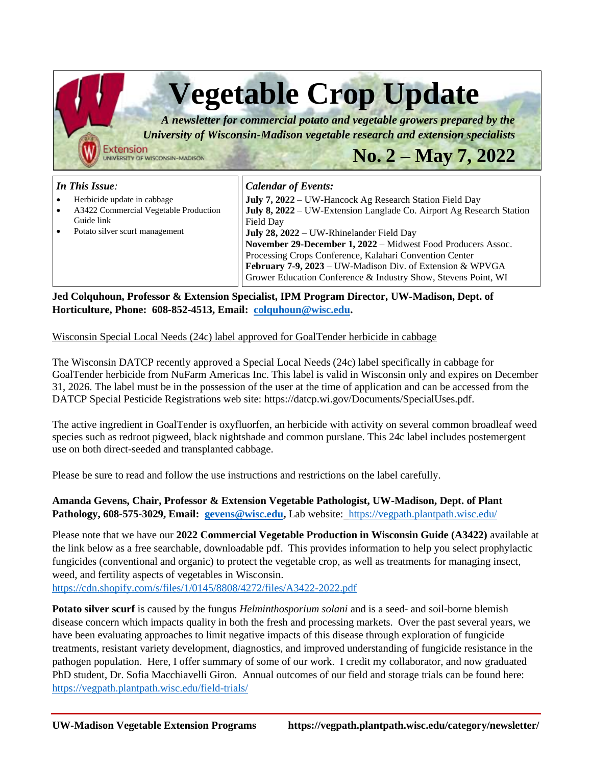| <b>Vegetable Crop Update</b><br>A newsletter for commercial potato and vegetable growers prepared by the<br>University of Wisconsin-Madison vegetable research and extension specialists<br><b>Extension</b><br>$No. 2 - May 7, 2022$<br>INIVERSITY OF WISCONSIN-MADISON |                                                                                                                                                                                                                                                                                                                                                                                                                                                                                         |
|--------------------------------------------------------------------------------------------------------------------------------------------------------------------------------------------------------------------------------------------------------------------------|-----------------------------------------------------------------------------------------------------------------------------------------------------------------------------------------------------------------------------------------------------------------------------------------------------------------------------------------------------------------------------------------------------------------------------------------------------------------------------------------|
| In This Issue:<br>Herbicide update in cabbage<br>A3422 Commercial Vegetable Production<br>Guide link<br>Potato silver scurf management                                                                                                                                   | <b>Calendar of Events:</b><br>July 7, 2022 – UW-Hancock Ag Research Station Field Day<br>July 8, 2022 – UW-Extension Langlade Co. Airport Ag Research Station<br>Field Day<br>July 28, 2022 – UW-Rhinelander Field Day<br>November 29-December 1, 2022 - Midwest Food Producers Assoc.<br>Processing Crops Conference, Kalahari Convention Center<br><b>February 7-9, 2023</b> – UW-Madison Div. of Extension & WPVGA<br>Grower Education Conference & Industry Show, Stevens Point, WI |

**Jed Colquhoun, Professor & Extension Specialist, IPM Program Director, UW-Madison, Dept. of Horticulture, Phone: 608-852-4513, Email: [colquhoun@wisc.edu.](mailto:colquhoun@wisc.edu)** 

## Wisconsin Special Local Needs (24c) label approved for GoalTender herbicide in cabbage

The Wisconsin DATCP recently approved a Special Local Needs (24c) label specifically in cabbage for GoalTender herbicide from NuFarm Americas Inc. This label is valid in Wisconsin only and expires on December 31, 2026. The label must be in the possession of the user at the time of application and can be accessed from the DATCP Special Pesticide Registrations web site: https://datcp.wi.gov/Documents/SpecialUses.pdf.

The active ingredient in GoalTender is oxyfluorfen, an herbicide with activity on several common broadleaf weed species such as redroot pigweed, black nightshade and common purslane. This 24c label includes postemergent use on both direct-seeded and transplanted cabbage.

Please be sure to read and follow the use instructions and restrictions on the label carefully.

**Amanda Gevens, Chair, Professor & Extension Vegetable Pathologist, UW-Madison, Dept. of Plant Pathology, 608-575-3029, Email: [gevens@wisc.edu,](mailto:gevens@wisc.edu)** Lab website:<https://vegpath.plantpath.wisc.edu/>

Please note that we have our **2022 Commercial Vegetable Production in Wisconsin Guide (A3422)** available at the link below as a free searchable, downloadable pdf. This provides information to help you select prophylactic fungicides (conventional and organic) to protect the vegetable crop, as well as treatments for managing insect, weed, and fertility aspects of vegetables in Wisconsin. <https://cdn.shopify.com/s/files/1/0145/8808/4272/files/A3422-2022.pdf>

**Potato silver scurf** is caused by the fungus *Helminthosporium solani* and is a seed- and soil-borne blemish disease concern which impacts quality in both the fresh and processing markets. Over the past several years, we have been evaluating approaches to limit negative impacts of this disease through exploration of fungicide treatments, resistant variety development, diagnostics, and improved understanding of fungicide resistance in the pathogen population. Here, I offer summary of some of our work. I credit my collaborator, and now graduated PhD student, Dr. Sofia Macchiavelli Giron. Annual outcomes of our field and storage trials can be found here: <https://vegpath.plantpath.wisc.edu/field-trials/>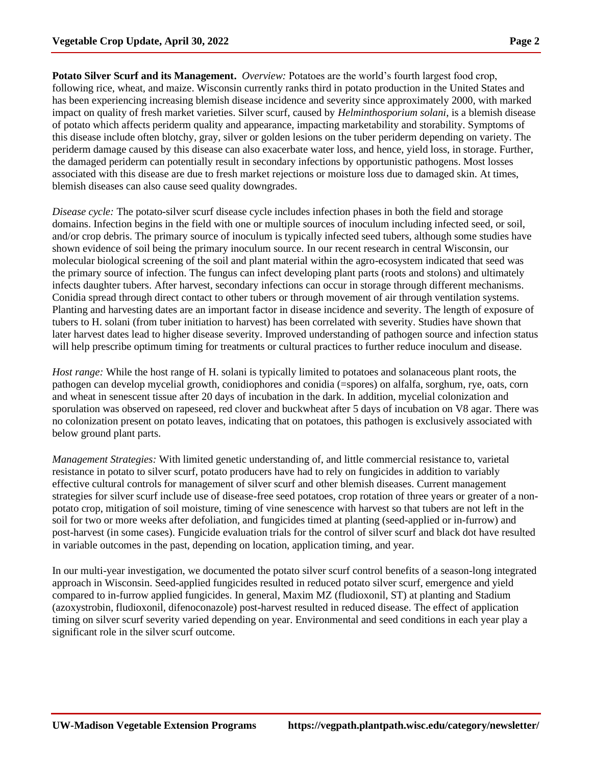**Potato Silver Scurf and its Management.** *Overview:* Potatoes are the world's fourth largest food crop, following rice, wheat, and maize. Wisconsin currently ranks third in potato production in the United States and has been experiencing increasing blemish disease incidence and severity since approximately 2000, with marked impact on quality of fresh market varieties. Silver scurf, caused by *Helminthosporium solani*, is a blemish disease of potato which affects periderm quality and appearance, impacting marketability and storability. Symptoms of this disease include often blotchy, gray, silver or golden lesions on the tuber periderm depending on variety. The periderm damage caused by this disease can also exacerbate water loss, and hence, yield loss, in storage. Further, the damaged periderm can potentially result in secondary infections by opportunistic pathogens. Most losses associated with this disease are due to fresh market rejections or moisture loss due to damaged skin. At times, blemish diseases can also cause seed quality downgrades.

*Disease cycle:* The potato-silver scurf disease cycle includes infection phases in both the field and storage domains. Infection begins in the field with one or multiple sources of inoculum including infected seed, or soil, and/or crop debris. The primary source of inoculum is typically infected seed tubers, although some studies have shown evidence of soil being the primary inoculum source. In our recent research in central Wisconsin, our molecular biological screening of the soil and plant material within the agro-ecosystem indicated that seed was the primary source of infection. The fungus can infect developing plant parts (roots and stolons) and ultimately infects daughter tubers. After harvest, secondary infections can occur in storage through different mechanisms. Conidia spread through direct contact to other tubers or through movement of air through ventilation systems. Planting and harvesting dates are an important factor in disease incidence and severity. The length of exposure of tubers to H. solani (from tuber initiation to harvest) has been correlated with severity. Studies have shown that later harvest dates lead to higher disease severity. Improved understanding of pathogen source and infection status will help prescribe optimum timing for treatments or cultural practices to further reduce inoculum and disease.

*Host range:* While the host range of H. solani is typically limited to potatoes and solanaceous plant roots, the pathogen can develop mycelial growth, conidiophores and conidia (=spores) on alfalfa, sorghum, rye, oats, corn and wheat in senescent tissue after 20 days of incubation in the dark. In addition, mycelial colonization and sporulation was observed on rapeseed, red clover and buckwheat after 5 days of incubation on V8 agar. There was no colonization present on potato leaves, indicating that on potatoes, this pathogen is exclusively associated with below ground plant parts.

*Management Strategies:* With limited genetic understanding of, and little commercial resistance to, varietal resistance in potato to silver scurf, potato producers have had to rely on fungicides in addition to variably effective cultural controls for management of silver scurf and other blemish diseases. Current management strategies for silver scurf include use of disease-free seed potatoes, crop rotation of three years or greater of a nonpotato crop, mitigation of soil moisture, timing of vine senescence with harvest so that tubers are not left in the soil for two or more weeks after defoliation, and fungicides timed at planting (seed-applied or in-furrow) and post-harvest (in some cases). Fungicide evaluation trials for the control of silver scurf and black dot have resulted in variable outcomes in the past, depending on location, application timing, and year.

In our multi-year investigation, we documented the potato silver scurf control benefits of a season-long integrated approach in Wisconsin. Seed-applied fungicides resulted in reduced potato silver scurf, emergence and yield compared to in-furrow applied fungicides. In general, Maxim MZ (fludioxonil, ST) at planting and Stadium (azoxystrobin, fludioxonil, difenoconazole) post-harvest resulted in reduced disease. The effect of application timing on silver scurf severity varied depending on year. Environmental and seed conditions in each year play a significant role in the silver scurf outcome.